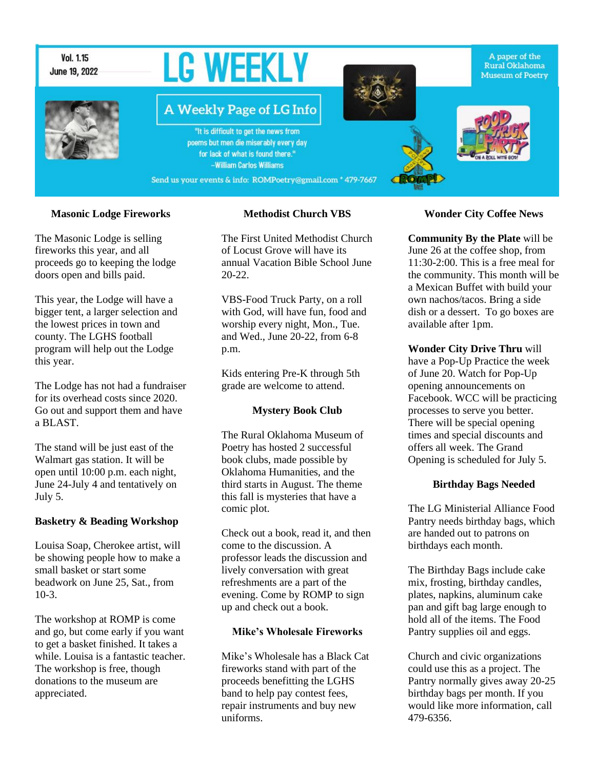

#### **Masonic Lodge Fireworks**

The Masonic Lodge is selling fireworks this year, and all proceeds go to keeping the lodge doors open and bills paid.

This year, the Lodge will have a bigger tent, a larger selection and the lowest prices in town and county. The LGHS football program will help out the Lodge this year.

The Lodge has not had a fundraiser for its overhead costs since 2020. Go out and support them and have a BLAST.

The stand will be just east of the Walmart gas station. It will be open until 10:00 p.m. each night, June 24-July 4 and tentatively on July 5.

#### **Basketry & Beading Workshop**

Louisa Soap, Cherokee artist, will be showing people how to make a small basket or start some beadwork on June 25, Sat., from 10-3.

The workshop at ROMP is come and go, but come early if you want to get a basket finished. It takes a while. Louisa is a fantastic teacher. The workshop is free, though donations to the museum are appreciated.

#### **Methodist Church VBS**

The First United Methodist Church of Locust Grove will have its annual Vacation Bible School June 20-22.

VBS-Food Truck Party, on a roll with God, will have fun, food and worship every night, Mon., Tue. and Wed., June 20-22, from 6-8 p.m.

Kids entering Pre-K through 5th grade are welcome to attend.

#### **Mystery Book Club**

The Rural Oklahoma Museum of Poetry has hosted 2 successful book clubs, made possible by Oklahoma Humanities, and the third starts in August. The theme this fall is mysteries that have a comic plot.

Check out a book, read it, and then come to the discussion. A professor leads the discussion and lively conversation with great refreshments are a part of the evening. Come by ROMP to sign up and check out a book.

#### **Mike's Wholesale Fireworks**

Mike's Wholesale has a Black Cat fireworks stand with part of the proceeds benefitting the LGHS band to help pay contest fees, repair instruments and buy new uniforms.

#### **Wonder City Coffee News**

**Community By the Plate** will be June 26 at the coffee shop, from 11:30-2:00. This is a free meal for the community. This month will be a Mexican Buffet with build your own nachos/tacos. Bring a side dish or a dessert. To go boxes are available after 1pm.

**Wonder City Drive Thru** will have a Pop-Up Practice the week of June 20. Watch for Pop-Up opening announcements on Facebook. WCC will be practicing processes to serve you better. There will be special opening times and special discounts and offers all week. The Grand Opening is scheduled for July 5.

#### **Birthday Bags Needed**

The LG Ministerial Alliance Food Pantry needs birthday bags, which are handed out to patrons on birthdays each month.

The Birthday Bags include cake mix, frosting, birthday candles, plates, napkins, aluminum cake pan and gift bag large enough to hold all of the items. The Food Pantry supplies oil and eggs.

Church and civic organizations could use this as a project. The Pantry normally gives away 20-25 birthday bags per month. If you would like more information, call 479-6356.